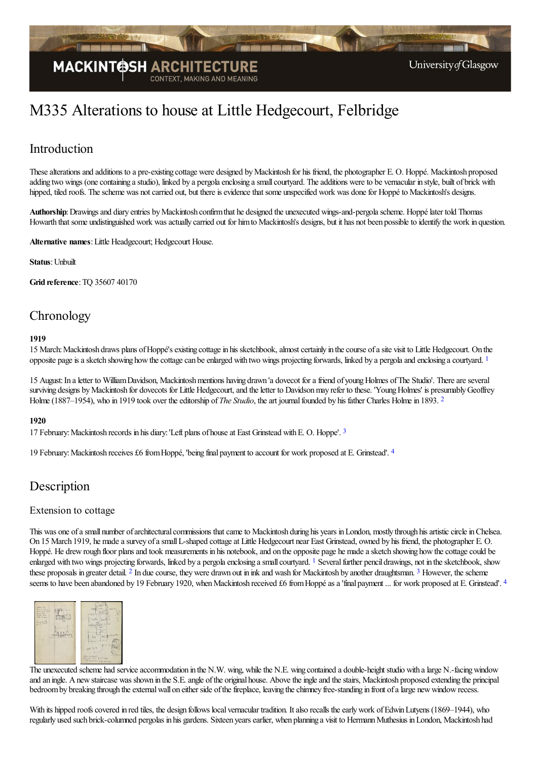

# M335 Alterations to house at Little Hedgecourt, Felbridge

# Introduction

These alterations and additions to a pre-existing cottage were designed by Mackintosh for his friend, the photographer E. O. Hoppé. Mackintosh proposed adding two wings (one containing a studio), linked by a pergola enclosing a small courtyard. The additions were to be vernacular in style, built of brick with hipped, tiled roofs. The scheme was not carried out, but there is evidence that some unspecified work was done for Hoppé to Mackintosh's designs.

Authorship: Drawings and diary entries by Mackintosh confirm that he designed the unexecuted wings-and-pergola scheme. Hoppé later told Thomas Howarth that some undistinguished work was actually carried out for him to Mackintosh's designs, but it has not been possible to identify the work in question.

**Alternative names**:Little Headgecourt; Hedgecourt House.

**Status**:Unbuilt

**Grid reference**:TQ 35607 40170

# **Chronology**

#### <span id="page-0-0"></span>**1919**

15 March: Mackintosh draws plans of Hoppé's existing cottage in his sketchbook, almost certainly in the course of a site visit to Little Hedgecourt. On the opposite page is a sketch showing how the cottage can be enlarged with two wings projecting forwards, linked by a pergola and enclosing a courtyard. [1](#page-1-0)

<span id="page-0-1"></span>15 August: In a letter to William Davidson, Mackintosh mentions having drawn 'a dovecot for a friend of young Holmes of The Studio'. There are several surviving designs by Mackintosh for dovecots for Little Hedgecourt, and the letter to Davidson may refer to these. 'Young Holmes' is presumably Geoffrey Holme (1887–1954), who in 1919 took over the editorship of *The Studio*, the art journal founded by his father Charles Holme in 1893. <sup>[2](#page-1-1)</sup>

#### **1920**

<span id="page-0-2"></span>17 February:Mackintosh records in his diary:'Left plans of houseat East Grinstead withE. O. Hoppe'. [3](#page-1-2)

<span id="page-0-3"></span>19 February: Mackintosh receives £6 from Hoppé, 'being final payment to account for work proposed at E. Grinstead'.  $4$ 

### Description

#### Extension to cottage

<span id="page-0-4"></span>This was one of a small number of architectural commissions that came to Mackintosh during his years in London, mostly through his artistic circle in Chelsea. On 15 March 1919, he made a survey of a small L-shaped cottage at Little Hedgecourt near East Grinstead, owned by his friend, the photographer E. O. Hoppé. He drew rough floor plans and took measurements in his notebook, and on the opposite page he made a sketch showing how the cottage could be enlarged with two wings projecting forwards, linked by a pergola enclosing a small courtyard. <sup>[1](#page-1-4)</sup> Several further pencil drawings, not in the sketchbook, show these proposals in greater detail. <sup>[2](#page-2-0)</sup> In due course, they were drawn out in ink and wash for Mackintosh by another draughtsman. <sup>[3](#page-2-1)</sup> However, the scheme seems to have been abandoned by 19 February 1920, when Mackintosh received £6 from Hoppé as a 'final payment ... for work proposed at E. Grinstead'. [4](#page-2-2)

<span id="page-0-7"></span><span id="page-0-6"></span><span id="page-0-5"></span>

The unexecuted scheme had service accommodation in the N.W. wing, while the N.E. wing contained a double-height studio with a large N.-facing window and an ingle. A new staircase was shown in the S.E. angle of the original house. Above the ingle and the stairs, Mackintosh proposed extending the principal bedroom by breaking through the external wall on either side of the fireplace, leaving the chimney free-standing in front of a large new window recess.

With its hipped roofs covered in red tiles, the design follows local vernacular tradition. It also recalls the early work of Edwin Lutyens (1869–1944), who regularly used such brick-columned pergolas in his gardens. Sixteen yearsearlier, when planning a visit to HermannMuthesius inLondon, Mackintosh had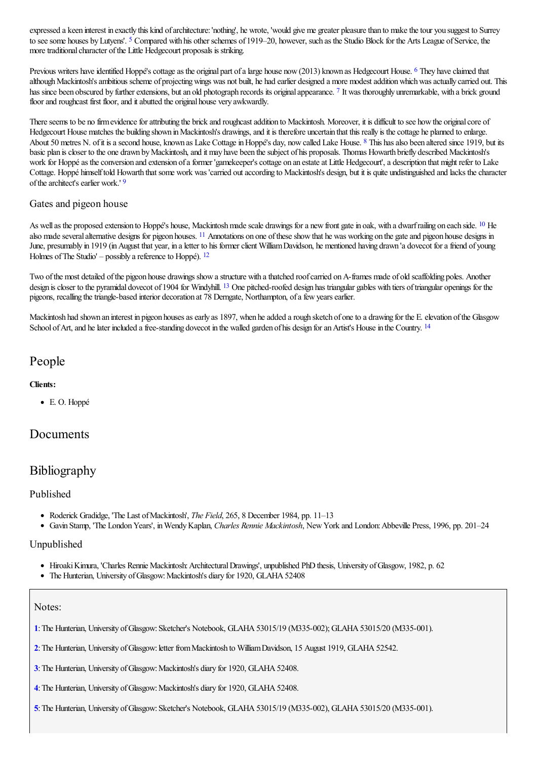<span id="page-1-5"></span>expressed a keen interest in exactly this kind of architecture: 'nothing', he wrote, 'would give me greater pleasure than to make the tour you suggest to Surrey to see some houses by Lutyens'. <sup>[5](#page-2-3)</sup> Compared with his other schemes of 1919–20, however, such as the Studio Block for the Arts League of Service, the more traditional character of the Little Hedgecourt proposals is striking.

<span id="page-1-7"></span><span id="page-1-6"></span>Previous writers have identified Hoppé's cottage as the original part of a large house now (2013) known as Hedgecourt House. <sup>[6](#page-2-4)</sup> They have claimed that although Mackintosh's ambitious scheme of projecting wings was not built, he had earlier designed a more modest addition which was actually carried out. This has since been obscured by further extensions, but an old photograph records its original appearance. [7](#page-2-5) It was thoroughly unremarkable, with a brick ground floor and roughcast first floor, and it abutted the original house very awkwardly.

<span id="page-1-8"></span>There seems to be no firm evidence for attributing the brick and roughcast addition to Mackintosh. Moreover, it is difficult to see how the original core of Hedgecourt House matches the building shown in Mackintosh's drawings, and it is therefore uncertain that this really is the cottage he planned to enlarge. About 50 metres N. of it is a second house, known as Lake Cottage in Hoppé's day, now called Lake House. <sup>[8](#page-2-6)</sup> This has also been altered since 1919, but its basic plan is closer to the one drawn by Mackintosh, and it may have been the subject of his proposals. Thomas Howarth briefly described Mackintosh's work for Hoppé as the conversion and extension of a former 'gamekeeper's cottage on an estate at Little Hedgecourt', a description that might refer to Lake Cottage. Hoppé himself told Howarth that some work was 'carried out according to Mackintosh's design, but it is quite undistinguished and lacks the character of the architect's earlier work.'<sup>[9](#page-2-7)</sup>

### <span id="page-1-10"></span><span id="page-1-9"></span>Gates and pigeon house

<span id="page-1-11"></span>As well as the proposed extension to Hoppé's house, Mackintosh made scale drawings for a new front gate in oak, with a dwarf railing on each side. <sup>[10](#page-2-8)</sup> He also made several alternative designs for pigeon houses. <sup>[11](#page-2-9)</sup> Annotations on one of these show that he was working on the gate and pigeon house designs in June, presumably in 1919 (in August that year, in a letter to his former client William Davidson, he mentioned having drawn 'a dovecot for a friend of young Holmes of The Studio' – possibly a reference to Hoppé).  $12$ 

<span id="page-1-13"></span><span id="page-1-12"></span>Two of the most detailed of the pigeon house drawings show a structure with a thatched roof carried on A-frames made of old scaffolding poles. Another design is closer to the pyramidal dovecot of 1904 for Windyhill. <sup>[13](#page-2-11)</sup> One pitched-roofed design has triangular gables with tiers of triangular openings for the pigeons, recalling the triangle-based interior decoration at 78 Derngate, Northampton, of a few years earlier.

Mackintosh had shown an interest in pigeon houses as early as 1897, when he added a rough sketch of one to a drawing for the E. elevation of the Glasgow School of Art, and he later included a free-standing dovecot in the walled garden of his design for an Artist's House in the Country. <sup>[14](#page-2-12)</sup>

## People

#### **Clients:**

<span id="page-1-14"></span>E. O. Hoppé

### Documents

# Bibliography

#### Published

- Roderick Gradidge, 'The Last ofMackintosh', *The Field*, 265, 8 December 1984, pp. 11–13
- Gavin Stamp, 'The LondonYears', inWendyKaplan, *Charles Rennie Mackintosh*, NewYork and London:Abbeville Press, 1996, pp. 201–24

#### Unpublished

- Hiroaki Kimura, 'Charles Rennie Mackintosh: Architectural Drawings', unpublished PhD thesis, University of Glasgow, 1982, p. 62
- The Hunterian, University of Glasgow: Mackintosh's diary for 1920, GLAHA 52408

#### Notes:

<span id="page-1-0"></span>**[1](#page-0-0)**:The Hunterian, University ofGlasgow:Sketcher's Notebook, GLAHA53015/19 (M335-002); GLAHA53015/20 (M335-001).

<span id="page-1-1"></span>[2](#page-0-1): The Hunterian, University of Glasgow: letter from Mackintosh to William Davidson, 15 August 1919, GLAHA 52542.

<span id="page-1-2"></span>**[3](#page-0-2)**: The Hunterian, University of Glasgow: Mackintosh's diary for 1920, GLAHA 52408.

- <span id="page-1-3"></span>[4](#page-0-3): The Hunterian, University of Glasgow: Mackintosh's diary for 1920, GLAHA 52408.
- <span id="page-1-4"></span>[5](#page-0-4): The Hunterian, University of Glasgow: Sketcher's Notebook, GLAHA 53015/19 (M335-002), GLAHA 53015/20 (M335-001).